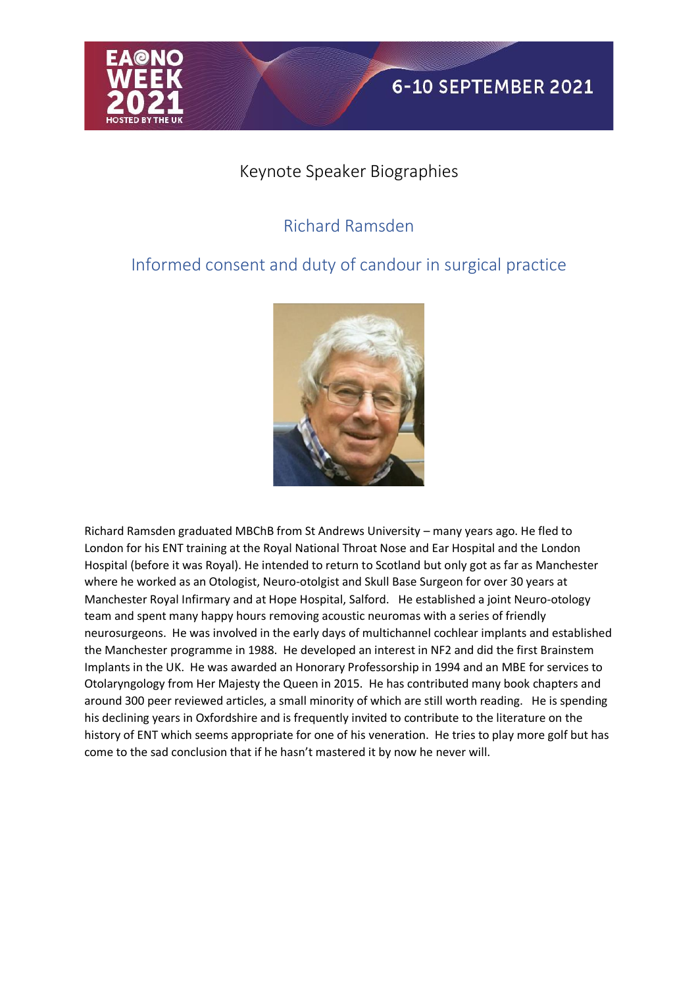

### Keynote Speaker Biographies

# Richard Ramsden

## Informed consent and duty of candour in surgical practice



Richard Ramsden graduated MBChB from St Andrews University – many years ago. He fled to London for his ENT training at the Royal National Throat Nose and Ear Hospital and the London Hospital (before it was Royal). He intended to return to Scotland but only got as far as Manchester where he worked as an Otologist, Neuro-otolgist and Skull Base Surgeon for over 30 years at Manchester Royal Infirmary and at Hope Hospital, Salford. He established a joint Neuro-otology team and spent many happy hours removing acoustic neuromas with a series of friendly neurosurgeons. He was involved in the early days of multichannel cochlear implants and established the Manchester programme in 1988. He developed an interest in NF2 and did the first Brainstem Implants in the UK. He was awarded an Honorary Professorship in 1994 and an MBE for services to Otolaryngology from Her Majesty the Queen in 2015. He has contributed many book chapters and around 300 peer reviewed articles, a small minority of which are still worth reading. He is spending his declining years in Oxfordshire and is frequently invited to contribute to the literature on the history of ENT which seems appropriate for one of his veneration. He tries to play more golf but has come to the sad conclusion that if he hasn't mastered it by now he never will.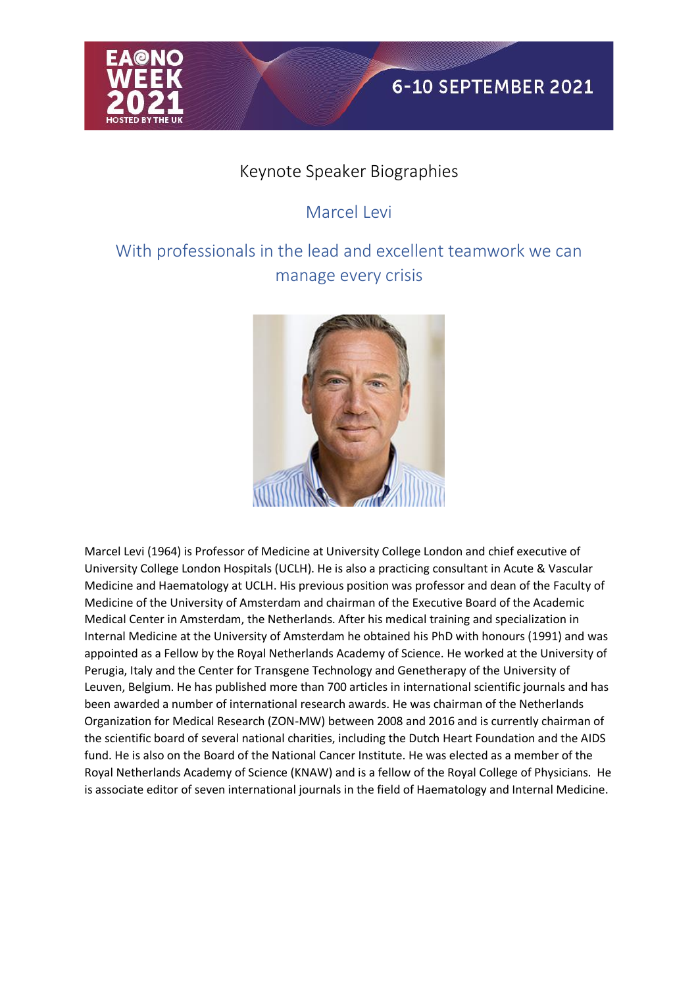

#### Keynote Speaker Biographies

## Marcel Levi

# With professionals in the lead and excellent teamwork we can manage every crisis



Marcel Levi (1964) is Professor of Medicine at University College London and chief executive of University College London Hospitals (UCLH). He is also a practicing consultant in Acute & Vascular Medicine and Haematology at UCLH. His previous position was professor and dean of the Faculty of Medicine of the University of Amsterdam and chairman of the Executive Board of the Academic Medical Center in Amsterdam, the Netherlands. After his medical training and specialization in Internal Medicine at the University of Amsterdam he obtained his PhD with honours (1991) and was appointed as a Fellow by the Royal Netherlands Academy of Science. He worked at the University of Perugia, Italy and the Center for Transgene Technology and Genetherapy of the University of Leuven, Belgium. He has published more than 700 articles in international scientific journals and has been awarded a number of international research awards. He was chairman of the Netherlands Organization for Medical Research (ZON-MW) between 2008 and 2016 and is currently chairman of the scientific board of several national charities, including the Dutch Heart Foundation and the AIDS fund. He is also on the Board of the National Cancer Institute. He was elected as a member of the Royal Netherlands Academy of Science (KNAW) and is a fellow of the Royal College of Physicians. He is associate editor of seven international journals in the field of Haematology and Internal Medicine.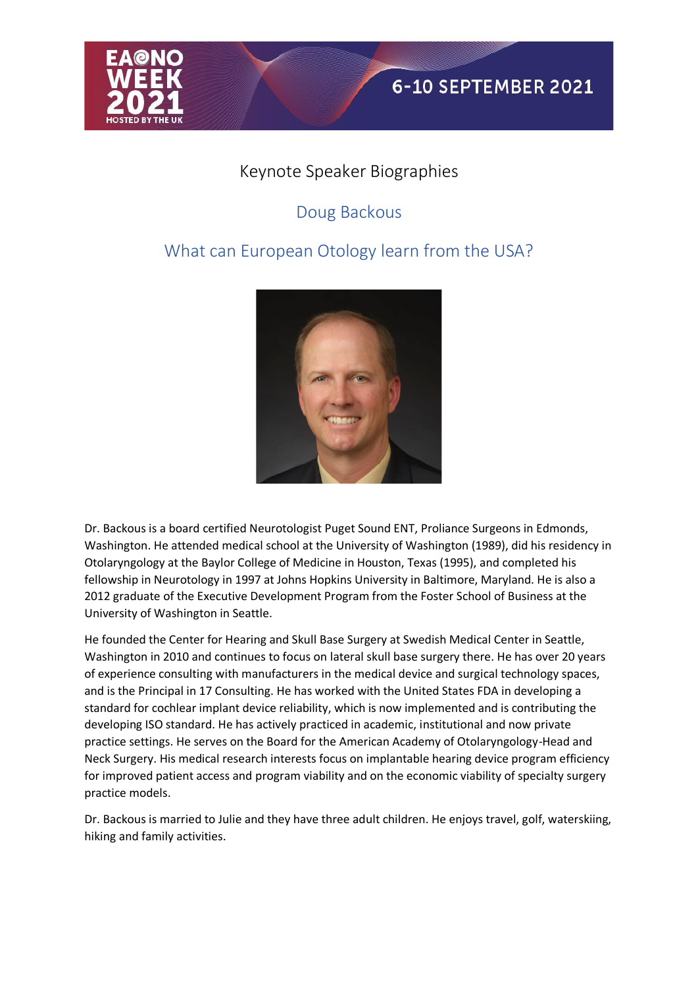

#### Keynote Speaker Biographies

## Doug Backous

### What can European Otology learn from the USA?



Dr. Backous is a board certified Neurotologist Puget Sound ENT, Proliance Surgeons in Edmonds, Washington. He attended medical school at the University of Washington (1989), did his residency in Otolaryngology at the Baylor College of Medicine in Houston, Texas (1995), and completed his fellowship in Neurotology in 1997 at Johns Hopkins University in Baltimore, Maryland. He is also a 2012 graduate of the Executive Development Program from the Foster School of Business at the University of Washington in Seattle.

He founded the Center for Hearing and Skull Base Surgery at Swedish Medical Center in Seattle, Washington in 2010 and continues to focus on lateral skull base surgery there. He has over 20 years of experience consulting with manufacturers in the medical device and surgical technology spaces, and is the Principal in 17 Consulting. He has worked with the United States FDA in developing a standard for cochlear implant device reliability, which is now implemented and is contributing the developing ISO standard. He has actively practiced in academic, institutional and now private practice settings. He serves on the Board for the American Academy of Otolaryngology-Head and Neck Surgery. His medical research interests focus on implantable hearing device program efficiency for improved patient access and program viability and on the economic viability of specialty surgery practice models.

Dr. Backous is married to Julie and they have three adult children. He enjoys travel, golf, waterskiing, hiking and family activities.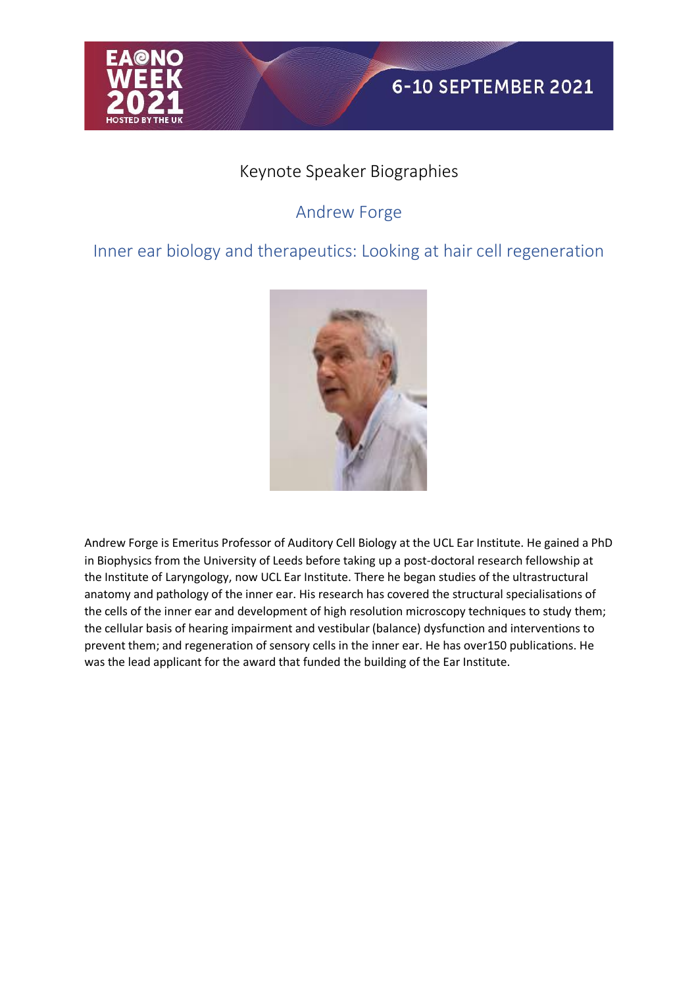

### Keynote Speaker Biographies

## Andrew Forge

#### Inner ear biology and therapeutics: Looking at hair cell regeneration



Andrew Forge is Emeritus Professor of Auditory Cell Biology at the UCL Ear Institute. He gained a PhD in Biophysics from the University of Leeds before taking up a post-doctoral research fellowship at the Institute of Laryngology, now UCL Ear Institute. There he began studies of the ultrastructural anatomy and pathology of the inner ear. His research has covered the structural specialisations of the cells of the inner ear and development of high resolution microscopy techniques to study them; the cellular basis of hearing impairment and vestibular (balance) dysfunction and interventions to prevent them; and regeneration of sensory cells in the inner ear. He has over150 publications. He was the lead applicant for the award that funded the building of the Ear Institute.